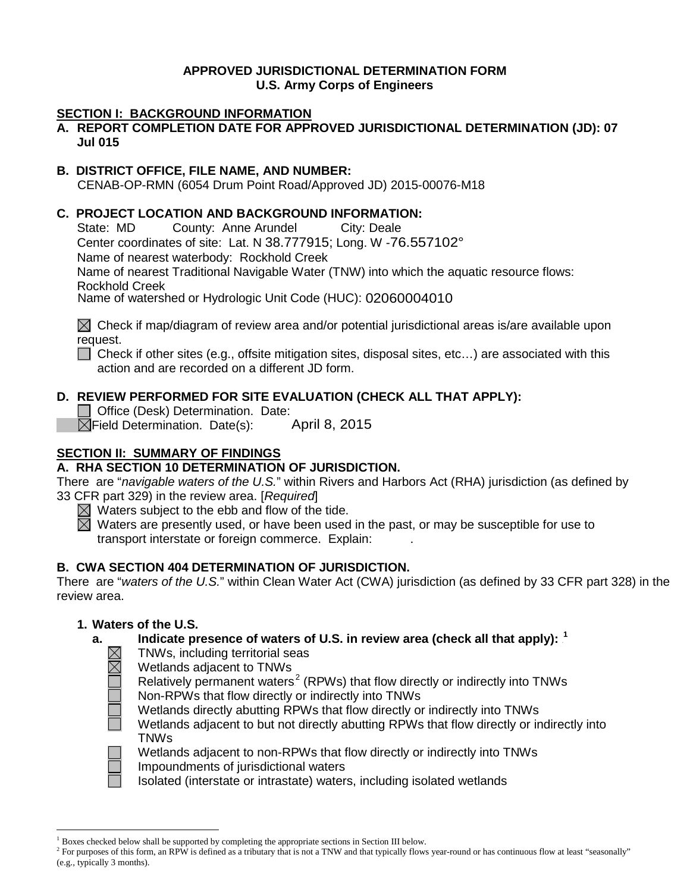# **APPROVED JURISDICTIONAL DETERMINATION FORM U.S. Army Corps of Engineers**

### **SECTION I: BACKGROUND INFORMATION**

**A. REPORT COMPLETION DATE FOR APPROVED JURISDICTIONAL DETERMINATION (JD): 07 Jul 015**

#### **B. DISTRICT OFFICE, FILE NAME, AND NUMBER:**

CENAB-OP-RMN (6054 Drum Point Road/Approved JD) 2015-00076-M18

# **C. PROJECT LOCATION AND BACKGROUND INFORMATION:**<br>State: MD County: Anne Arundel City: Deale

State: MD County: Anne Arundel Center coordinates of site: Lat. N 38.777915; Long. W -76.557102° Name of nearest waterbody: Rockhold Creek Name of nearest Traditional Navigable Water (TNW) into which the aquatic resource flows: Rockhold Creek<br>Name of watershed or Hydrologic Unit Code (HUC): 02060004010

 $\boxtimes$  Check if map/diagram of review area and/or potential jurisdictional areas is/are available upon request.

 $\Box$  Check if other sites (e.g., offsite mitigation sites, disposal sites, etc...) are associated with this action and are recorded on a different JD form.

# **D. REVIEW PERFORMED FOR SITE EVALUATION (CHECK ALL THAT APPLY):**

Office (Desk) Determination. Date:  $\boxtimes$ Field Determination. Date(s):

#### **SECTION II: SUMMARY OF FINDINGS**

#### **A. RHA SECTION 10 DETERMINATION OF JURISDICTION.**

There are "*navigable waters of the U.S.*" within Rivers and Harbors Act (RHA) jurisdiction (as defined by 33 CFR part 329) in the review area. [*Required*]

 $\boxtimes$  Waters subject to the ebb and flow of the tide.

 $\boxtimes$  Waters are presently used, or have been used in the past, or may be susceptible for use to transport interstate or foreign commerce. Explain: .

#### **B. CWA SECTION 404 DETERMINATION OF JURISDICTION.**

There are "*waters of the U.S.*" within Clean Water Act (CWA) jurisdiction (as defined by 33 CFR part 328) in the review area.

#### **1. Waters of the U.S.**

# a. \_\_\_\_ Indicate presence of waters of U.S. in review area (check all that apply): <sup>1</sup>

TNWs, including territorial seas

Wetlands adjacent to TNWs

Relatively permanent waters<sup>2</sup> (RPWs) that flow directly or indirectly into TNWs

Non-RPWs that flow directly or indirectly into TNWs

Wetlands directly abutting RPWs that flow directly or indirectly into TNWs

Wetlands adjacent to but not directly abutting RPWs that flow directly or indirectly into TNWs



Wetlands adjacent to non-RPWs that flow directly or indirectly into TNWs Impoundments of jurisdictional waters

Isolated (interstate or intrastate) waters, including isolated wetlands

 <sup>1</sup> Boxes checked below shall be supported by completing the appropriate sections in Section III below.

<sup>&</sup>lt;sup>2</sup> For purposes of this form, an RPW is defined as a tributary that is not a TNW and that typically flows year-round or has continuous flow at least "seasonally" (e.g., typically 3 months).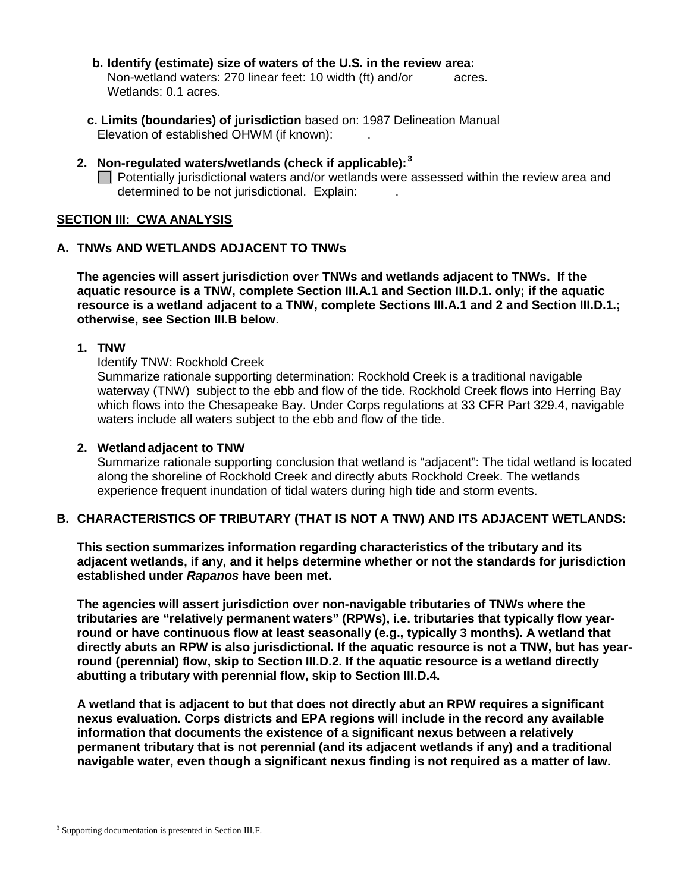- **b. Identify (estimate) size of waters of the U.S. in the review area:** Non-wetland waters: 270 linear feet: 10 width (ft) and/or acres. Wetlands: 0.1 acres.
- **c. Limits (boundaries) of jurisdiction** based on: 1987 Delineation Manual Elevation of established OHWM (if known):
- 2. Non-regulated waters/wetlands (check if applicable):<sup>3</sup>  $\Box$  Potentially jurisdictional waters and/or wetlands were assessed within the review area and determined to be not jurisdictional. Explain: .

#### **SECTION III: CWA ANALYSIS**

#### **A. TNWs AND WETLANDS ADJACENT TO TNWs**

**The agencies will assert jurisdiction over TNWs and wetlands adjacent to TNWs. If the aquatic resource is a TNW, complete Section III.A.1 and Section III.D.1. only; if the aquatic resource is a wetland adjacent to a TNW, complete Sections III.A.1 and 2 and Section III.D.1.; otherwise, see Section III.B below**.

#### **1. TNW**

Identify TNW: Rockhold Creek

Summarize rationale supporting determination: Rockhold Creek is a traditional navigable waterway (TNW) subject to the ebb and flow of the tide. Rockhold Creek flows into Herring Bay which flows into the Chesapeake Bay. Under Corps regulations at 33 CFR Part 329.4, navigable waters include all waters subject to the ebb and flow of the tide.

#### **2. Wetland adjacent to TNW**

Summarize rationale supporting conclusion that wetland is "adjacent": The tidal wetland is located along the shoreline of Rockhold Creek and directly abuts Rockhold Creek. The wetlands experience frequent inundation of tidal waters during high tide and storm events.

#### **B. CHARACTERISTICS OF TRIBUTARY (THAT IS NOT A TNW) AND ITS ADJACENT WETLANDS:**

**This section summarizes information regarding characteristics of the tributary and its adjacent wetlands, if any, and it helps determine whether or not the standards for jurisdiction established under** *Rapanos* **have been met.** 

**The agencies will assert jurisdiction over non-navigable tributaries of TNWs where the tributaries are "relatively permanent waters" (RPWs), i.e. tributaries that typically flow yearround or have continuous flow at least seasonally (e.g., typically 3 months). A wetland that directly abuts an RPW is also jurisdictional. If the aquatic resource is not a TNW, but has yearround (perennial) flow, skip to Section III.D.2. If the aquatic resource is a wetland directly abutting a tributary with perennial flow, skip to Section III.D.4.** 

**A wetland that is adjacent to but that does not directly abut an RPW requires a significant nexus evaluation. Corps districts and EPA regions will include in the record any available information that documents the existence of a significant nexus between a relatively permanent tributary that is not perennial (and its adjacent wetlands if any) and a traditional navigable water, even though a significant nexus finding is not required as a matter of law.**

<sup>&</sup>lt;sup>3</sup> Supporting documentation is presented in Section III.F.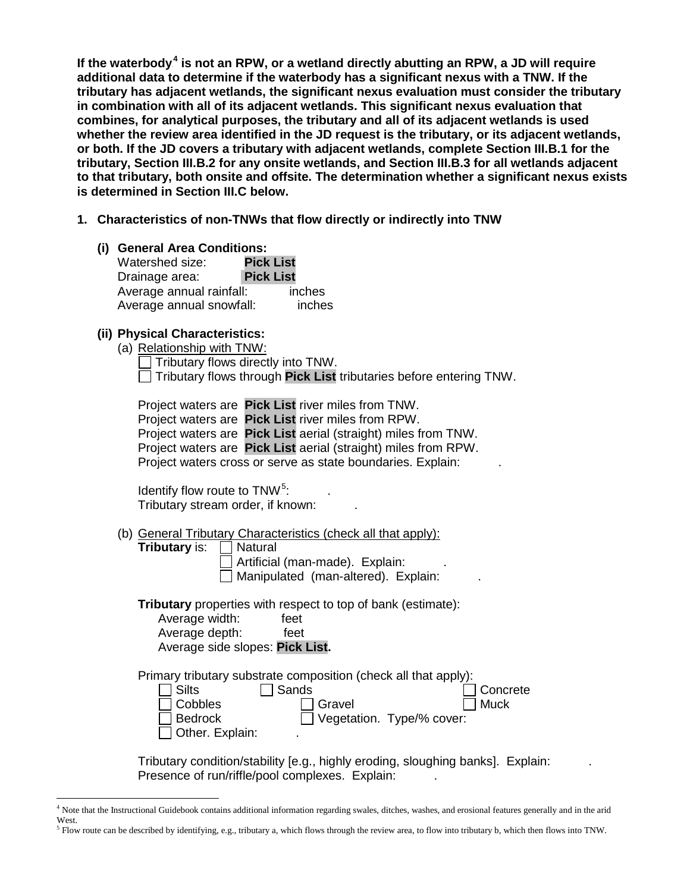**If the waterbody**3 F **<sup>4</sup> is not an RPW, or a wetland directly abutting an RPW, a JD will require additional data to determine if the waterbody has a significant nexus with a TNW. If the tributary has adjacent wetlands, the significant nexus evaluation must consider the tributary in combination with all of its adjacent wetlands. This significant nexus evaluation that combines, for analytical purposes, the tributary and all of its adjacent wetlands is used whether the review area identified in the JD request is the tributary, or its adjacent wetlands, or both. If the JD covers a tributary with adjacent wetlands, complete Section III.B.1 for the tributary, Section III.B.2 for any onsite wetlands, and Section III.B.3 for all wetlands adjacent to that tributary, both onsite and offsite. The determination whether a significant nexus exists is determined in Section III.C below.**

- **1. Characteristics of non-TNWs that flow directly or indirectly into TNW**
	- **(i) General Area Conditions:** Watershed size: **Pick List** Drainage area: **Pick List** Average annual rainfall: inches Average annual snowfall: inches

#### **(ii) Physical Characteristics:**

(a) Relationship with TNW: Tributary flows directly into TNW.

Tributary flows through **Pick List** tributaries before entering TNW.

Project waters are **Pick List** river miles from TNW. Project waters are **Pick List** river miles from RPW. Project waters are **Pick List** aerial (straight) miles from TNW. Project waters are **Pick List** aerial (straight) miles from RPW. Project waters cross or serve as state boundaries. Explain:

Identify flow route to TNW.<sup>5</sup>  $: \mathbb{R}^n \times \mathbb{R}^n$ Tributary stream order, if known: .

(b) General Tributary Characteristics (check all that apply):

| <b>Tributary is:</b>                      | Natural<br>Artificial (man-made). Explain:<br>Manipulated (man-altered). Explain:                                                                             |
|-------------------------------------------|---------------------------------------------------------------------------------------------------------------------------------------------------------------|
| Average width:<br>Average depth:          | <b>Tributary</b> properties with respect to top of bank (estimate):<br>feet<br>feet<br>Average side slopes: Pick List.                                        |
| <b>Silts</b><br>Cobbles<br><b>Bedrock</b> | Primary tributary substrate composition (check all that apply):<br>Sands<br>Concrete<br><b>Muck</b><br>Gravel<br>Vegetation. Type/% cover:<br>Other. Explain: |

Tributary condition/stability [e.g., highly eroding, sloughing banks]. Explain: . Presence of run/riffle/pool complexes. Explain:

 <sup>4</sup> Note that the Instructional Guidebook contains additional information regarding swales, ditches, washes, and erosional features generally and in the arid West.

 $<sup>5</sup>$  Flow route can be described by identifying, e.g., tributary a, which flows through the review area, to flow into tributary b, which then flows into TNW.</sup>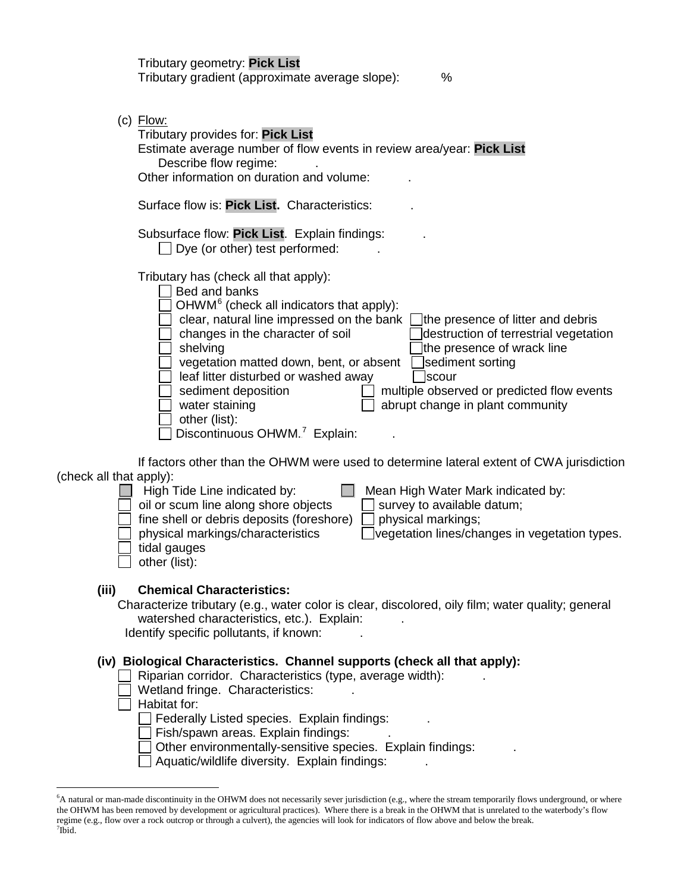| Tributary geometry: Pick List<br>Tributary gradient (approximate average slope):<br>%                                                                                                                                                                                                                                                                                                                                                                                                                                                                                                                                            |
|----------------------------------------------------------------------------------------------------------------------------------------------------------------------------------------------------------------------------------------------------------------------------------------------------------------------------------------------------------------------------------------------------------------------------------------------------------------------------------------------------------------------------------------------------------------------------------------------------------------------------------|
| $(c)$ Flow:<br>Tributary provides for: Pick List<br>Estimate average number of flow events in review area/year: Pick List<br>Describe flow regime:<br>Other information on duration and volume:                                                                                                                                                                                                                                                                                                                                                                                                                                  |
| Surface flow is: Pick List. Characteristics:                                                                                                                                                                                                                                                                                                                                                                                                                                                                                                                                                                                     |
| Subsurface flow: Pick List. Explain findings:<br>Dye (or other) test performed:                                                                                                                                                                                                                                                                                                                                                                                                                                                                                                                                                  |
| Tributary has (check all that apply):<br>Bed and banks<br>OHWM <sup>6</sup> (check all indicators that apply):<br>clear, natural line impressed on the bank<br>the presence of litter and debris<br>changes in the character of soil<br>destruction of terrestrial vegetation<br>shelving<br>the presence of wrack line<br>vegetation matted down, bent, or absent<br>sediment sorting<br>leaf litter disturbed or washed away<br>scour<br>sediment deposition<br>multiple observed or predicted flow events<br>abrupt change in plant community<br>water staining<br>other (list):<br>Discontinuous OHWM. <sup>7</sup> Explain: |
| If factors other than the OHWM were used to determine lateral extent of CWA jurisdiction<br>(check all that apply):<br>High Tide Line indicated by:<br>Mean High Water Mark indicated by:<br>oil or scum line along shore objects<br>survey to available datum;<br>fine shell or debris deposits (foreshore)<br>physical markings;<br>physical markings/characteristics<br>vegetation lines/changes in vegetation types.<br>tidal gauges<br>$\Box$ other (list):                                                                                                                                                                 |
| (iii)<br><b>Chemical Characteristics:</b><br>Characterize tributary (e.g., water color is clear, discolored, oily film; water quality; general<br>watershed characteristics, etc.). Explain:<br>Identify specific pollutants, if known:                                                                                                                                                                                                                                                                                                                                                                                          |
| (iv) Biological Characteristics. Channel supports (check all that apply):<br>Riparian corridor. Characteristics (type, average width):<br>Wetland fringe. Characteristics:<br>Habitat for:<br>Federally Listed species. Explain findings:<br>Fish/spawn areas. Explain findings:<br>Other environmentally-sensitive species. Explain findings:<br>Aquatic/wildlife diversity. Explain findings:                                                                                                                                                                                                                                  |

 <sup>6</sup> A natural or man-made discontinuity in the OHWM does not necessarily sever jurisdiction (e.g., where the stream temporarily flows underground, or where the OHWM has been removed by development or agricultural practices). Where there is a break in the OHWM that is unrelated to the waterbody's flow regime (e.g., flow over a rock outcrop or through a culvert), the agencies will look for indicators of flow above and below the break.<br><sup>7</sup>Ibid.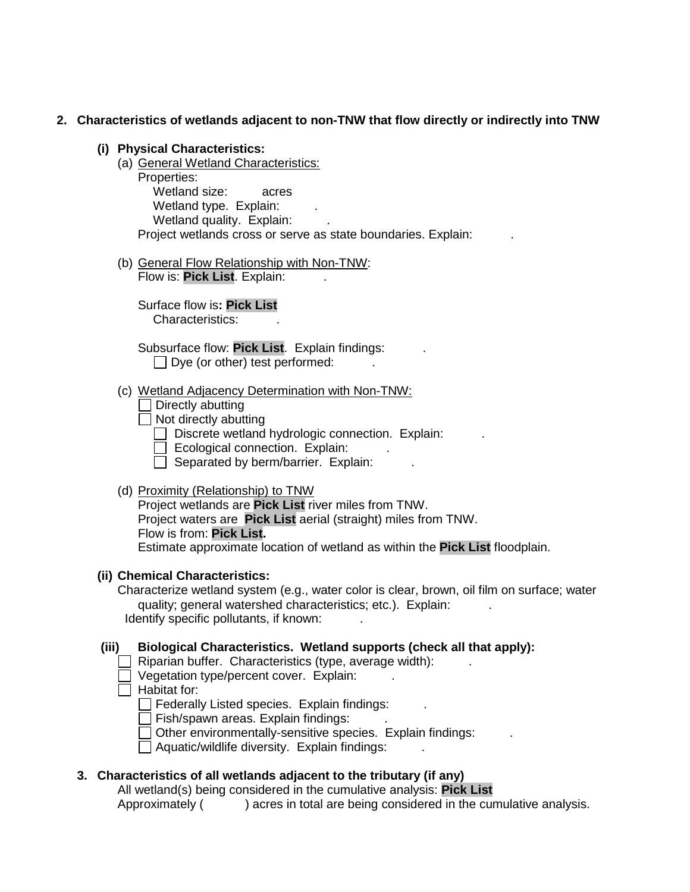#### **2. Characteristics of wetlands adjacent to non-TNW that flow directly or indirectly into TNW**

- **(i) Physical Characteristics:**
	- (a) General Wetland Characteristics: Properties: Wetland size: acres Wetland type. Explain: Wetland quality. Explain: Project wetlands cross or serve as state boundaries. Explain:
	- (b) General Flow Relationship with Non-TNW: Flow is: Pick List. Explain:

Surface flow is**: Pick List**  Characteristics: .

Subsurface flow: **Pick List**. Explain findings: .  $\Box$  Dye (or other) test performed:

(c) Wetland Adjacency Determination with Non-TNW:

 $\Box$  Directly abutting

- $\Box$  Not directly abutting
	- $\Box$  Discrete wetland hydrologic connection. Explain:

 $\Box$  Ecological connection. Explain:

 $\Box$  Separated by berm/barrier. Explain:

(d) Proximity (Relationship) to TNW

Project wetlands are **Pick List** river miles from TNW. Project waters are **Pick List** aerial (straight) miles from TNW. Flow is from: **Pick List.**

Estimate approximate location of wetland as within the **Pick List** floodplain.

#### **(ii) Chemical Characteristics:**

Characterize wetland system (e.g., water color is clear, brown, oil film on surface; water quality; general watershed characteristics; etc.). Explain: Identify specific pollutants, if known:

**(iii) Biological Characteristics. Wetland supports (check all that apply):**

- $\Box$  Riparian buffer. Characteristics (type, average width):
- $\Box$  Vegetation type/percent cover. Explain:
- $\Box$  Habitat for:

**Federally Listed species. Explain findings:** 

 $\Box$  Fish/spawn areas. Explain findings:

 $\Box$  Other environmentally-sensitive species. Explain findings:

 $\Box$  Aquatic/wildlife diversity. Explain findings:

#### **3. Characteristics of all wetlands adjacent to the tributary (if any)**

All wetland(s) being considered in the cumulative analysis: **Pick List** Approximately ( ) acres in total are being considered in the cumulative analysis.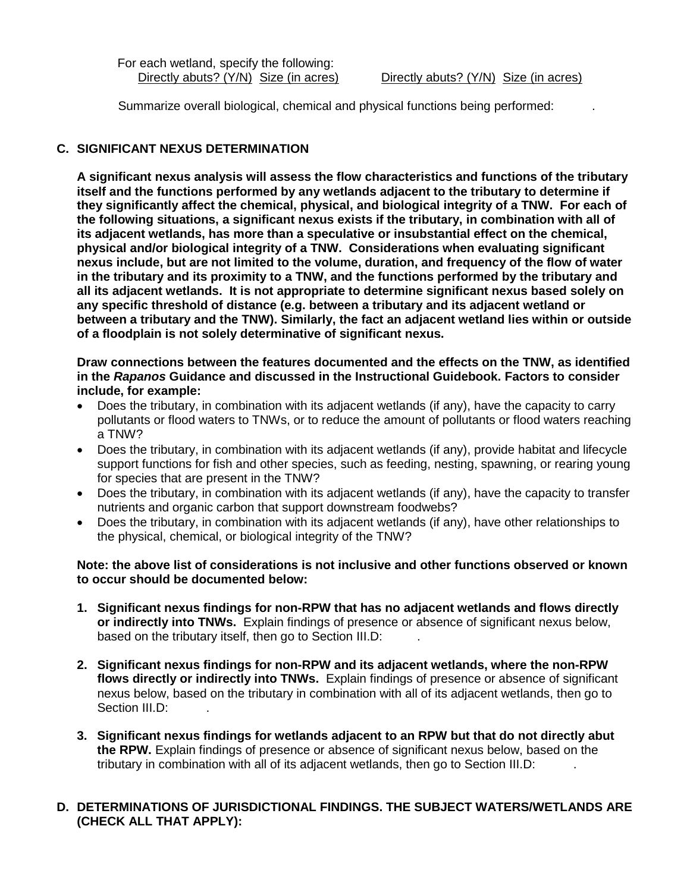For each wetland, specify the following:

Summarize overall biological, chemical and physical functions being performed: .

# **C. SIGNIFICANT NEXUS DETERMINATION**

**A significant nexus analysis will assess the flow characteristics and functions of the tributary itself and the functions performed by any wetlands adjacent to the tributary to determine if they significantly affect the chemical, physical, and biological integrity of a TNW. For each of the following situations, a significant nexus exists if the tributary, in combination with all of its adjacent wetlands, has more than a speculative or insubstantial effect on the chemical, physical and/or biological integrity of a TNW. Considerations when evaluating significant nexus include, but are not limited to the volume, duration, and frequency of the flow of water in the tributary and its proximity to a TNW, and the functions performed by the tributary and all its adjacent wetlands. It is not appropriate to determine significant nexus based solely on any specific threshold of distance (e.g. between a tributary and its adjacent wetland or between a tributary and the TNW). Similarly, the fact an adjacent wetland lies within or outside of a floodplain is not solely determinative of significant nexus.** 

#### **Draw connections between the features documented and the effects on the TNW, as identified in the** *Rapanos* **Guidance and discussed in the Instructional Guidebook. Factors to consider include, for example:**

- Does the tributary, in combination with its adjacent wetlands (if any), have the capacity to carry pollutants or flood waters to TNWs, or to reduce the amount of pollutants or flood waters reaching a TNW?
- Does the tributary, in combination with its adjacent wetlands (if any), provide habitat and lifecycle support functions for fish and other species, such as feeding, nesting, spawning, or rearing young for species that are present in the TNW?
- Does the tributary, in combination with its adjacent wetlands (if any), have the capacity to transfer nutrients and organic carbon that support downstream foodwebs?
- Does the tributary, in combination with its adjacent wetlands (if any), have other relationships to the physical, chemical, or biological integrity of the TNW?

#### **Note: the above list of considerations is not inclusive and other functions observed or known to occur should be documented below:**

- **1. Significant nexus findings for non-RPW that has no adjacent wetlands and flows directly or indirectly into TNWs.** Explain findings of presence or absence of significant nexus below, based on the tributary itself, then go to Section III.D:
- **2. Significant nexus findings for non-RPW and its adjacent wetlands, where the non-RPW flows directly or indirectly into TNWs.** Explain findings of presence or absence of significant nexus below, based on the tributary in combination with all of its adjacent wetlands, then go to Section III.D:
- **3. Significant nexus findings for wetlands adjacent to an RPW but that do not directly abut the RPW.** Explain findings of presence or absence of significant nexus below, based on the tributary in combination with all of its adjacent wetlands, then go to Section III.D: .

# **D. DETERMINATIONS OF JURISDICTIONAL FINDINGS. THE SUBJECT WATERS/WETLANDS ARE (CHECK ALL THAT APPLY):**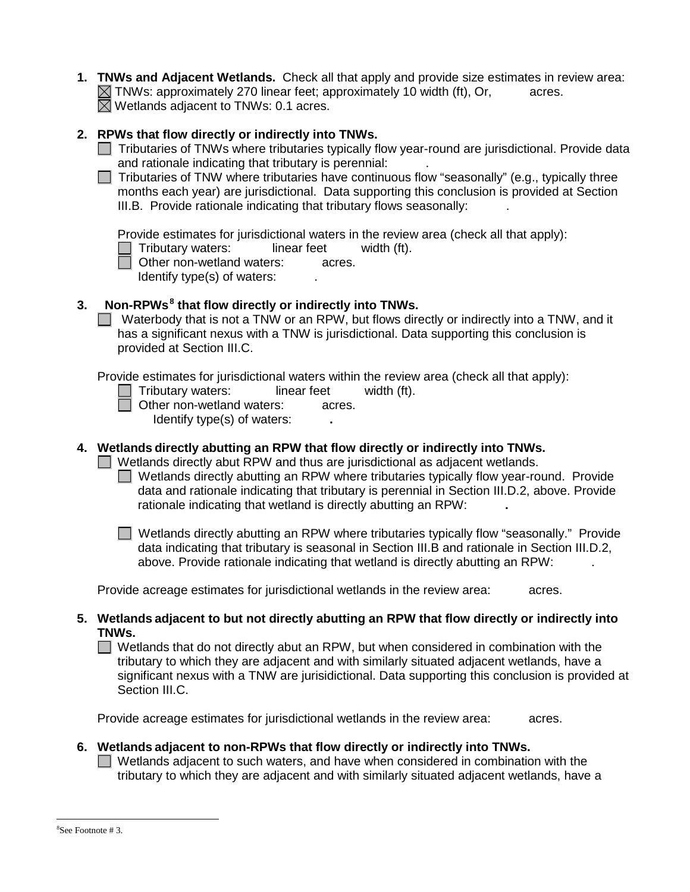**1. TNWs and Adjacent Wetlands.** Check all that apply and provide size estimates in review area:  $\boxtimes$  TNWs: approximately 270 linear feet; approximately 10 width (ft), Or, acres.  $\boxtimes$  Wetlands adjacent to TNWs: 0.1 acres.

# **2. RPWs that flow directly or indirectly into TNWs.**

- $\Box$  Tributaries of TNWs where tributaries typically flow year-round are jurisdictional. Provide data and rationale indicating that tributary is perennial: .
- $\Box$  Tributaries of TNW where tributaries have continuous flow "seasonally" (e.g., typically three months each year) are jurisdictional. Data supporting this conclusion is provided at Section III.B. Provide rationale indicating that tributary flows seasonally: .

Provide estimates for jurisdictional waters in the review area (check all that apply):

Tributary waters: linear feet width (ft).

□ Other non-wetland waters: acres. Identify type(s) of waters:  $\qquad \qquad$ .

# **3. Non-RPWs**7F **<sup>8</sup> that flow directly or indirectly into TNWs.**

Waterbody that is not a TNW or an RPW, but flows directly or indirectly into a TNW, and it has a significant nexus with a TNW is jurisdictional. Data supporting this conclusion is provided at Section III.C.

Provide estimates for jurisdictional waters within the review area (check all that apply):

- Tributary waters: linear feet width (ft).
- **D** Other non-wetland waters: acres.

Identify type(s) of waters: **.**

# **4. Wetlands directly abutting an RPW that flow directly or indirectly into TNWs.**

 $\Box$  Wetlands directly abut RPW and thus are jurisdictional as adjacent wetlands.

Wetlands directly abutting an RPW where tributaries typically flow year-round. Provide data and rationale indicating that tributary is perennial in Section III.D.2, above. Provide rationale indicating that wetland is directly abutting an RPW: **.**

■ Wetlands directly abutting an RPW where tributaries typically flow "seasonally." Provide data indicating that tributary is seasonal in Section III.B and rationale in Section III.D.2, above. Provide rationale indicating that wetland is directly abutting an RPW: .

Provide acreage estimates for jurisdictional wetlands in the review area: acres.

**5. Wetlands adjacent to but not directly abutting an RPW that flow directly or indirectly into TNWs.**

 $\Box$  Wetlands that do not directly abut an RPW, but when considered in combination with the tributary to which they are adjacent and with similarly situated adjacent wetlands, have a significant nexus with a TNW are jurisidictional. Data supporting this conclusion is provided at Section III.C.

Provide acreage estimates for jurisdictional wetlands in the review area: acres.

# **6. Wetlands adjacent to non-RPWs that flow directly or indirectly into TNWs.**

 $\Box$  Wetlands adjacent to such waters, and have when considered in combination with the tributary to which they are adjacent and with similarly situated adjacent wetlands, have a

 <sup>8</sup> <sup>8</sup>See Footnote #3.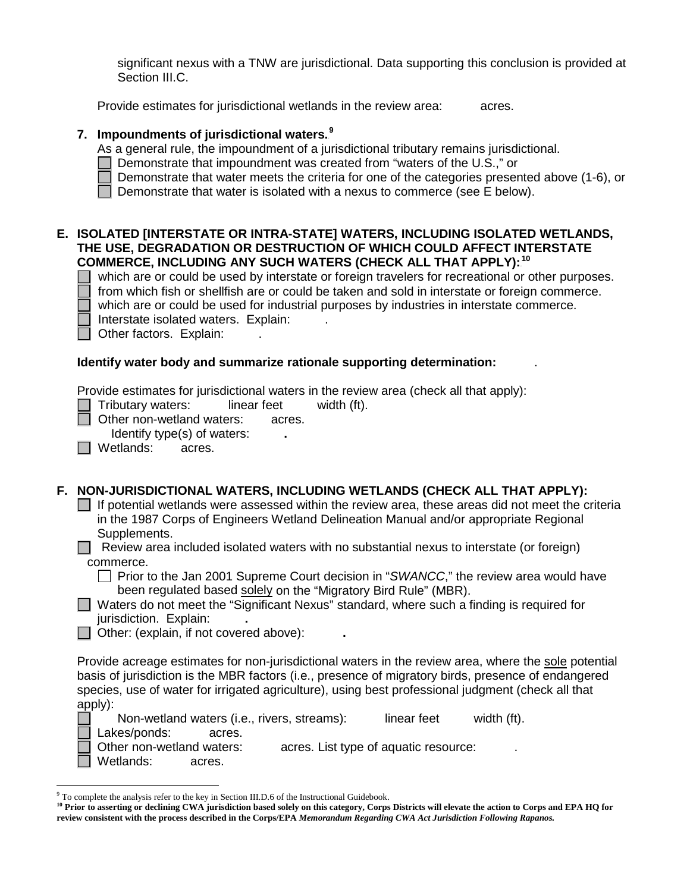significant nexus with a TNW are jurisdictional. Data supporting this conclusion is provided at Section III.C.

Provide estimates for jurisdictional wetlands in the review area: acres.

# **7. Impoundments of jurisdictional waters.**8F **9**

As a general rule, the impoundment of a jurisdictional tributary remains jurisdictional.

- $\Box$  Demonstrate that impoundment was created from "waters of the U.S.," or
- Demonstrate that water meets the criteria for one of the categories presented above (1-6), or

Demonstrate that water is isolated with a nexus to commerce (see  $E$  below).

# **E. ISOLATED [INTERSTATE OR INTRA-STATE] WATERS, INCLUDING ISOLATED WETLANDS, THE USE, DEGRADATION OR DESTRUCTION OF WHICH COULD AFFECT INTERSTATE COMMERCE, INCLUDING ANY SUCH WATERS (CHECK ALL THAT APPLY):**9F **10**

 which are or could be used by interstate or foreign travelers for recreational or other purposes. from which fish or shellfish are or could be taken and sold in interstate or foreign commerce.

which are or could be used for industrial purposes by industries in interstate commerce.

Interstate isolated waters.Explain: .

Other factors.Explain: .

# **Identify water body and summarize rationale supporting determination:** .

Provide estimates for jurisdictional waters in the review area (check all that apply):

Tributary waters: linear feet width (ft).

□ Other non-wetland waters: acres.

Identify type(s) of waters: **.**

□ Wetlands: acres.

# **F. NON-JURISDICTIONAL WATERS, INCLUDING WETLANDS (CHECK ALL THAT APPLY):**

 $\Box$  If potential wetlands were assessed within the review area, these areas did not meet the criteria in the 1987 Corps of Engineers Wetland Delineation Manual and/or appropriate Regional Supplements.

Review area included isolated waters with no substantial nexus to interstate (or foreign) commerce.

Prior to the Jan 2001 Supreme Court decision in "*SWANCC*," the review area would have been regulated based solely on the "Migratory Bird Rule" (MBR).

Waters do not meet the "Significant Nexus" standard, where such a finding is required for jurisdiction. Explain: **.**

Other: (explain, if not covered above): **.**

Provide acreage estimates for non-jurisdictional waters in the review area, where the sole potential basis of jurisdiction is the MBR factors (i.e., presence of migratory birds, presence of endangered species, use of water for irrigated agriculture), using best professional judgment (check all that apply):

Non-wetland waters (i.e., rivers, streams): linear feet width (ft). Lakes/ponds: acres. Other non-wetland waters: acres. List type of aquatic resource: Wetlands: acres.

 <sup>9</sup> To complete the analysis refer to the key in Section III.D.6 of the Instructional Guidebook.

**<sup>10</sup> Prior to asserting or declining CWA jurisdiction based solely on this category, Corps Districts will elevate the action to Corps and EPA HQ for review consistent with the process described in the Corps/EPA** *Memorandum Regarding CWA Act Jurisdiction Following Rapanos.*